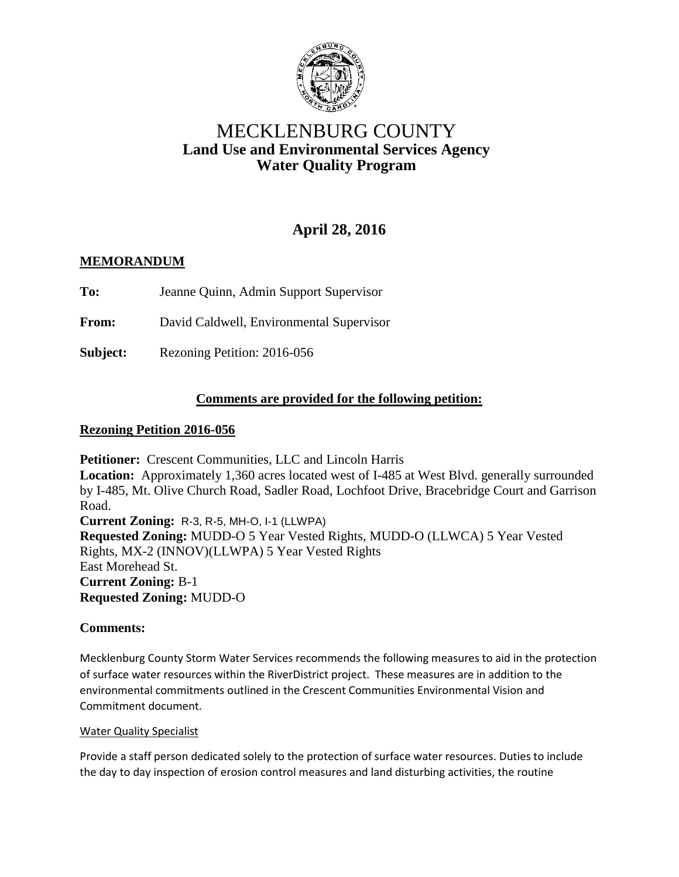

# MECKLENBURG COUNTY **Land Use and Environmental Services Agency Water Quality Program**

# **April 28, 2016**

## **MEMORANDUM**

**To:** Jeanne Quinn, Admin Support Supervisor

**From:** David Caldwell, Environmental Supervisor

**Subject:** Rezoning Petition: 2016-056

## **Comments are provided for the following petition:**

### **Rezoning Petition 2016-056**

**Petitioner:** Crescent Communities, LLC and Lincoln Harris **Location:** Approximately 1,360 acres located west of I-485 at West Blvd. generally surrounded by I-485, Mt. Olive Church Road, Sadler Road, Lochfoot Drive, Bracebridge Court and Garrison Road. **Current Zoning:** R-3, R-5, MH-O, I-1 (LLWPA) **Requested Zoning:** MUDD-O 5 Year Vested Rights, MUDD-O (LLWCA) 5 Year Vested Rights, MX-2 (INNOV)(LLWPA) 5 Year Vested Rights East Morehead St. **Current Zoning:** B-1 **Requested Zoning:** MUDD-O

## **Comments:**

Mecklenburg County Storm Water Services recommends the following measures to aid in the protection of surface water resources within the RiverDistrict project. These measures are in addition to the environmental commitments outlined in the Crescent Communities Environmental Vision and Commitment document.

### Water Quality Specialist

Provide a staff person dedicated solely to the protection of surface water resources. Duties to include the day to day inspection of erosion control measures and land disturbing activities, the routine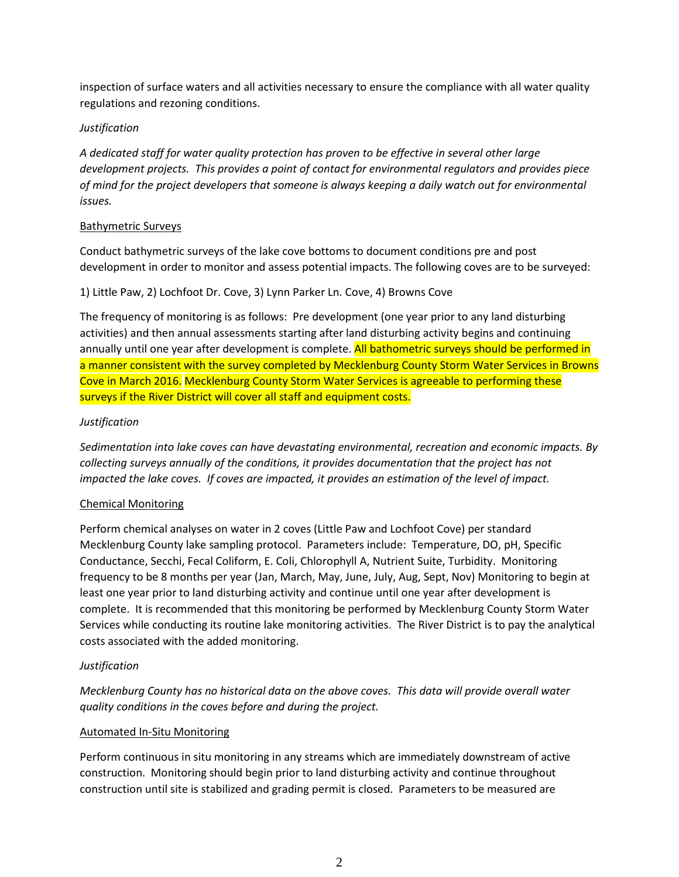inspection of surface waters and all activities necessary to ensure the compliance with all water quality regulations and rezoning conditions.

### *Justification*

*A dedicated staff for water quality protection has proven to be effective in several other large development projects. This provides a point of contact for environmental regulators and provides piece of mind for the project developers that someone is always keeping a daily watch out for environmental issues.*

### Bathymetric Surveys

Conduct bathymetric surveys of the lake cove bottoms to document conditions pre and post development in order to monitor and assess potential impacts. The following coves are to be surveyed:

### 1) Little Paw, 2) Lochfoot Dr. Cove, 3) Lynn Parker Ln. Cove, 4) Browns Cove

The frequency of monitoring is as follows: Pre development (one year prior to any land disturbing activities) and then annual assessments starting after land disturbing activity begins and continuing annually until one year after development is complete. All bathometric surveys should be performed in a manner consistent with the survey completed by Mecklenburg County Storm Water Services in Browns Cove in March 2016. Mecklenburg County Storm Water Services is agreeable to performing these surveys if the River District will cover all staff and equipment costs.

### *Justification*

*Sedimentation into lake coves can have devastating environmental, recreation and economic impacts. By collecting surveys annually of the conditions, it provides documentation that the project has not impacted the lake coves. If coves are impacted, it provides an estimation of the level of impact.*

### Chemical Monitoring

Perform chemical analyses on water in 2 coves (Little Paw and Lochfoot Cove) per standard Mecklenburg County lake sampling protocol. Parameters include: Temperature, DO, pH, Specific Conductance, Secchi, Fecal Coliform, E. Coli, Chlorophyll A, Nutrient Suite, Turbidity. Monitoring frequency to be 8 months per year (Jan, March, May, June, July, Aug, Sept, Nov) Monitoring to begin at least one year prior to land disturbing activity and continue until one year after development is complete. It is recommended that this monitoring be performed by Mecklenburg County Storm Water Services while conducting its routine lake monitoring activities. The River District is to pay the analytical costs associated with the added monitoring.

### *Justification*

*Mecklenburg County has no historical data on the above coves. This data will provide overall water quality conditions in the coves before and during the project.*

#### Automated In-Situ Monitoring

Perform continuous in situ monitoring in any streams which are immediately downstream of active construction. Monitoring should begin prior to land disturbing activity and continue throughout construction until site is stabilized and grading permit is closed. Parameters to be measured are